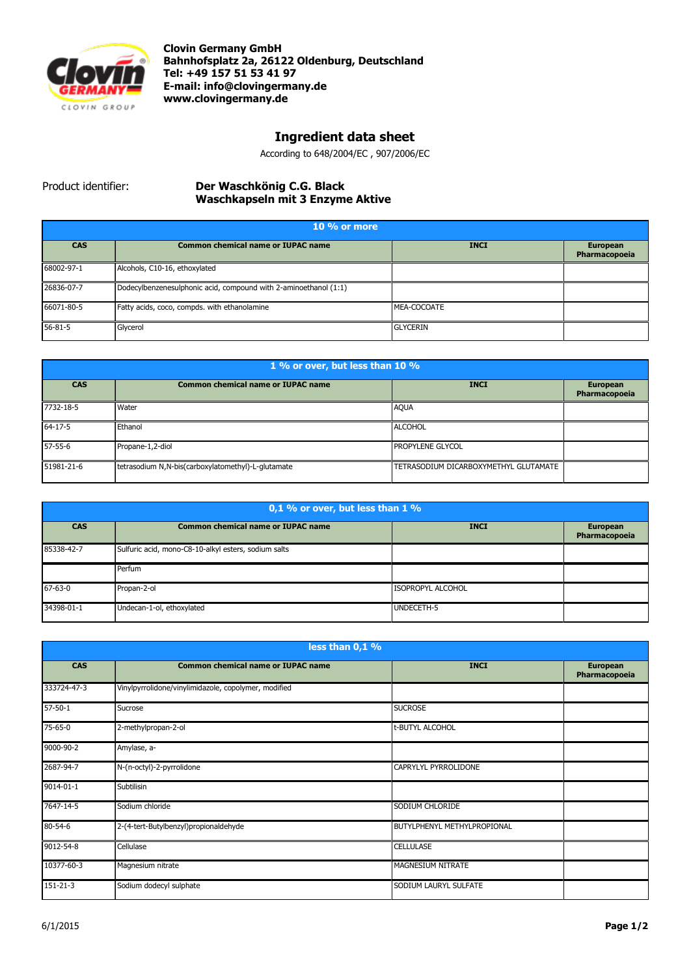

**Clovin Germany GmbH Bahnhofsplatz 2a, 26122 Oldenburg, Deutschland Tel: +49 157 51 53 41 97 E-mail[: info@clovingermany.de](mailto:info@clovingermany.de) www.clovingermany.de**

## **Ingredient data sheet**

According to 648/2004/EC , 907/2006/EC

## Product identifier: **Der Waschkӧnig C.G. Black Waschkapseln mit 3 Enzyme Aktive**

| 10 % or more  |                                                                  |                 |                                  |
|---------------|------------------------------------------------------------------|-----------------|----------------------------------|
| <b>CAS</b>    | <b>Common chemical name or IUPAC name</b>                        | <b>INCI</b>     | <b>European</b><br>Pharmacopoeia |
| 68002-97-1    | Alcohols, C10-16, ethoxylated                                    |                 |                                  |
| 26836-07-7    | Dodecylbenzenesulphonic acid, compound with 2-aminoethanol (1:1) |                 |                                  |
| 66071-80-5    | Fatty acids, coco, compds. with ethanolamine                     | MEA-COCOATE     |                                  |
| $56 - 81 - 5$ | Glycerol                                                         | <b>GLYCERIN</b> |                                  |

| 1 % or over, but less than 10 % |                                                    |                                       |                                  |
|---------------------------------|----------------------------------------------------|---------------------------------------|----------------------------------|
| <b>CAS</b>                      | <b>Common chemical name or IUPAC name</b>          | <b>INCI</b>                           | <b>European</b><br>Pharmacopoeia |
| 7732-18-5                       | Water                                              | <b>AQUA</b>                           |                                  |
| $64 - 17 - 5$                   | Ethanol                                            | <b>ALCOHOL</b>                        |                                  |
| 57-55-6                         | Propane-1,2-diol                                   | <b>PROPYLENE GLYCOL</b>               |                                  |
| 51981-21-6                      | tetrasodium N,N-bis(carboxylatomethyl)-L-glutamate | TETRASODIUM DICARBOXYMETHYL GLUTAMATE |                                  |

| 0,1 % or over, but less than 1 % |                                                      |                          |                                  |
|----------------------------------|------------------------------------------------------|--------------------------|----------------------------------|
| <b>CAS</b>                       | <b>Common chemical name or IUPAC name</b>            | <b>INCI</b>              | <b>European</b><br>Pharmacopoeia |
| 85338-42-7                       | Sulfuric acid, mono-C8-10-alkyl esters, sodium salts |                          |                                  |
|                                  | Perfum                                               |                          |                                  |
| $67 - 63 - 0$                    | Propan-2-ol                                          | <b>ISOPROPYL ALCOHOL</b> |                                  |
| 34398-01-1                       | Undecan-1-ol, ethoxylated                            | UNDECETH-5               |                                  |

| less than 0,1 % |                                                      |                             |                                  |
|-----------------|------------------------------------------------------|-----------------------------|----------------------------------|
| <b>CAS</b>      | <b>Common chemical name or IUPAC name</b>            | <b>INCI</b>                 | <b>European</b><br>Pharmacopoeia |
| 333724-47-3     | Vinylpyrrolidone/vinylimidazole, copolymer, modified |                             |                                  |
| $57 - 50 - 1$   | Sucrose                                              | <b>SUCROSE</b>              |                                  |
| 75-65-0         | 2-methylpropan-2-ol                                  | t-BUTYL ALCOHOL             |                                  |
| 9000-90-2       | Amylase, a-                                          |                             |                                  |
| 2687-94-7       | N-(n-octyl)-2-pyrrolidone                            | CAPRYLYL PYRROLIDONE        |                                  |
| 9014-01-1       | Subtilisin                                           |                             |                                  |
| 7647-14-5       | Sodium chloride                                      | SODIUM CHLORIDE             |                                  |
| $80 - 54 - 6$   | 2-(4-tert-Butylbenzyl)propionaldehyde                | BUTYLPHENYL METHYLPROPIONAL |                                  |
| 9012-54-8       | Cellulase                                            | <b>CELLULASE</b>            |                                  |
| 10377-60-3      | Magnesium nitrate                                    | MAGNESIUM NITRATE           |                                  |
| 151-21-3        | Sodium dodecyl sulphate                              | SODIUM LAURYL SULFATE       |                                  |